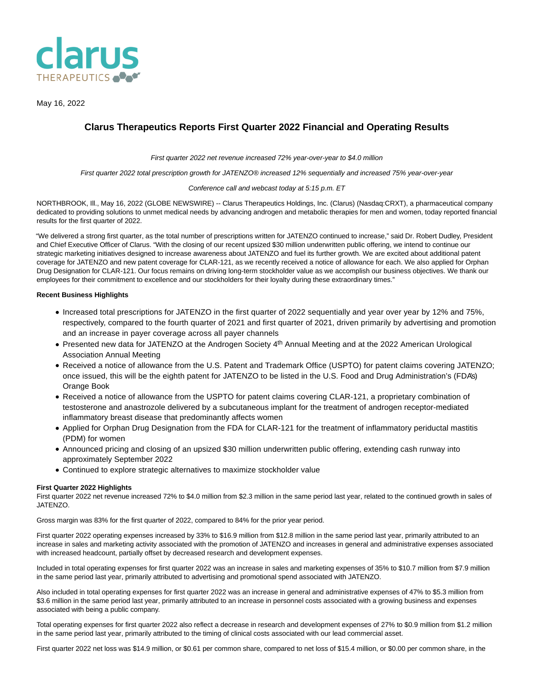

May 16, 2022

# **Clarus Therapeutics Reports First Quarter 2022 Financial and Operating Results**

First quarter 2022 net revenue increased 72% year-over-year to \$4.0 million

First quarter 2022 total prescription growth for JATENZO® increased 12% sequentially and increased 75% year-over-year

#### Conference call and webcast today at 5:15 p.m. ET

NORTHBROOK, Ill., May 16, 2022 (GLOBE NEWSWIRE) -- Clarus Therapeutics Holdings, Inc. (Clarus) (Nasdaq:CRXT), a pharmaceutical company dedicated to providing solutions to unmet medical needs by advancing androgen and metabolic therapies for men and women, today reported financial results for the first quarter of 2022.

"We delivered a strong first quarter, as the total number of prescriptions written for JATENZO continued to increase," said Dr. Robert Dudley, President and Chief Executive Officer of Clarus. "With the closing of our recent upsized \$30 million underwritten public offering, we intend to continue our strategic marketing initiatives designed to increase awareness about JATENZO and fuel its further growth. We are excited about additional patent coverage for JATENZO and new patent coverage for CLAR-121, as we recently received a notice of allowance for each. We also applied for Orphan Drug Designation for CLAR-121. Our focus remains on driving long-term stockholder value as we accomplish our business objectives. We thank our employees for their commitment to excellence and our stockholders for their loyalty during these extraordinary times."

## **Recent Business Highlights**

- Increased total prescriptions for JATENZO in the first quarter of 2022 sequentially and year over year by 12% and 75%, respectively, compared to the fourth quarter of 2021 and first quarter of 2021, driven primarily by advertising and promotion and an increase in payer coverage across all payer channels
- Presented new data for JATENZO at the Androgen Society 4<sup>th</sup> Annual Meeting and at the 2022 American Urological Association Annual Meeting
- Received a notice of allowance from the U.S. Patent and Trademark Office (USPTO) for patent claims covering JATENZO; once issued, this will be the eighth patent for JATENZO to be listed in the U.S. Food and Drug Administration's (FDA's) Orange Book
- Received a notice of allowance from the USPTO for patent claims covering CLAR-121, a proprietary combination of testosterone and anastrozole delivered by a subcutaneous implant for the treatment of androgen receptor-mediated inflammatory breast disease that predominantly affects women
- Applied for Orphan Drug Designation from the FDA for CLAR-121 for the treatment of inflammatory periductal mastitis (PDM) for women
- Announced pricing and closing of an upsized \$30 million underwritten public offering, extending cash runway into approximately September 2022
- Continued to explore strategic alternatives to maximize stockholder value

## **First Quarter 2022 Highlights**

First quarter 2022 net revenue increased 72% to \$4.0 million from \$2.3 million in the same period last year, related to the continued growth in sales of JATENZO.

Gross margin was 83% for the first quarter of 2022, compared to 84% for the prior year period.

First quarter 2022 operating expenses increased by 33% to \$16.9 million from \$12.8 million in the same period last year, primarily attributed to an increase in sales and marketing activity associated with the promotion of JATENZO and increases in general and administrative expenses associated with increased headcount, partially offset by decreased research and development expenses.

Included in total operating expenses for first quarter 2022 was an increase in sales and marketing expenses of 35% to \$10.7 million from \$7.9 million in the same period last year, primarily attributed to advertising and promotional spend associated with JATENZO.

Also included in total operating expenses for first quarter 2022 was an increase in general and administrative expenses of 47% to \$5.3 million from \$3.6 million in the same period last year, primarily attributed to an increase in personnel costs associated with a growing business and expenses associated with being a public company.

Total operating expenses for first quarter 2022 also reflect a decrease in research and development expenses of 27% to \$0.9 million from \$1.2 million in the same period last year, primarily attributed to the timing of clinical costs associated with our lead commercial asset.

First quarter 2022 net loss was \$14.9 million, or \$0.61 per common share, compared to net loss of \$15.4 million, or \$0.00 per common share, in the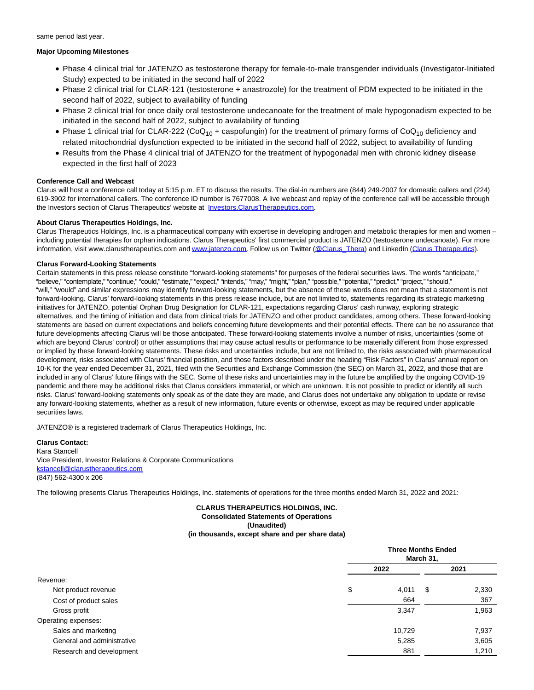same period last year.

### **Major Upcoming Milestones**

- Phase 4 clinical trial for JATENZO as testosterone therapy for female-to-male transgender individuals (Investigator-Initiated Study) expected to be initiated in the second half of 2022
- Phase 2 clinical trial for CLAR-121 (testosterone + anastrozole) for the treatment of PDM expected to be initiated in the second half of 2022, subject to availability of funding
- Phase 2 clinical trial for once daily oral testosterone undecanoate for the treatment of male hypogonadism expected to be initiated in the second half of 2022, subject to availability of funding
- Phase 1 clinical trial for CLAR-222 (CoQ<sub>10</sub> + caspofungin) for the treatment of primary forms of CoQ<sub>10</sub> deficiency and related mitochondrial dysfunction expected to be initiated in the second half of 2022, subject to availability of funding
- Results from the Phase 4 clinical trial of JATENZO for the treatment of hypogonadal men with chronic kidney disease expected in the first half of 2023

# **Conference Call and Webcast**

Clarus will host a conference call today at 5:15 p.m. ET to discuss the results. The dial-in numbers are (844) 249-2007 for domestic callers and (224) 619-3902 for international callers. The conference ID number is 7677008. A live webcast and replay of the conference call will be accessible through the Investors section of Clarus Therapeutics' website at [Investors.ClarusTherapeutics.com.](https://www.globenewswire.com/Tracker?data=i1FPc28aVhU4b8OEZXLITm5WcQIglA7kHMovJNH67HR9KTZfXSccuqIrIFCg_zulSHu10KBRU5yiyuxOm9SGu31p4ubrbjdWLt3MdJrZZJAKnH_VeCGMW7u2GoEveZw3)

## **About Clarus Therapeutics Holdings, Inc.**

Clarus Therapeutics Holdings, Inc. is a pharmaceutical company with expertise in developing androgen and metabolic therapies for men and women – including potential therapies for orphan indications. Clarus Therapeutics' first commercial product is JATENZO (testosterone undecanoate). For more information, visit www.clarustherapeutics.com an[d www.jatenzo.com.](https://www.globenewswire.com/Tracker?data=qFseo8b6ldkHDUIzzSsyo3FfvXVmPaimwNI9YUekpNaiTDpVYBelJzTQb7qd17t7hRXlrNazvYNk0KczGhW9kQ==) Follow us on Twitter [\(@Clarus\\_Thera\)](https://www.globenewswire.com/Tracker?data=HcRgzPXiTrnlqQRgXT7Rd4NUfjgsdWLT4sBG8A19LxkUSehNjVWEZ8yrPkHTbxgUSnnhr6WDOv7nRKqggh1a20qWZ4fdRtaqmPEPpbWzdBg=) and LinkedIn [\(Clarus Therapeutics\)](https://www.globenewswire.com/Tracker?data=oTbfcNax3B5Q3L43tkTn5YKFIj8iyf36qF9v6WD89HxwO2AevxI39gRhDHd9GmpntQHe3NNwNj2mioM--INKbnlnzOIVmUTIerB88PweegQMBnMpOX-_DVOPP9G-kUtP).

## **Clarus Forward-Looking Statements**

Certain statements in this press release constitute "forward-looking statements" for purposes of the federal securities laws. The words "anticipate," "believe," "contemplate," "continue," "could," "estimate," "expect," "intends," "may," "might," "plan," "possible," "potential," "predict," "project," "should," "will," "would" and similar expressions may identify forward-looking statements, but the absence of these words does not mean that a statement is not forward-looking. Clarus' forward-looking statements in this press release include, but are not limited to, statements regarding its strategic marketing initiatives for JATENZO, potential Orphan Drug Designation for CLAR-121, expectations regarding Clarus' cash runway, exploring strategic alternatives, and the timing of initiation and data from clinical trials for JATENZO and other product candidates, among others. These forward-looking statements are based on current expectations and beliefs concerning future developments and their potential effects. There can be no assurance that future developments affecting Clarus will be those anticipated. These forward-looking statements involve a number of risks, uncertainties (some of which are beyond Clarus' control) or other assumptions that may cause actual results or performance to be materially different from those expressed or implied by these forward-looking statements. These risks and uncertainties include, but are not limited to, the risks associated with pharmaceutical development, risks associated with Clarus' financial position, and those factors described under the heading "Risk Factors" in Clarus' annual report on 10-K for the year ended December 31, 2021, filed with the Securities and Exchange Commission (the SEC) on March 31, 2022, and those that are included in any of Clarus' future filings with the SEC. Some of these risks and uncertainties may in the future be amplified by the ongoing COVID-19 pandemic and there may be additional risks that Clarus considers immaterial, or which are unknown. It is not possible to predict or identify all such risks. Clarus' forward-looking statements only speak as of the date they are made, and Clarus does not undertake any obligation to update or revise any forward-looking statements, whether as a result of new information, future events or otherwise, except as may be required under applicable securities laws.

JATENZO® is a registered trademark of Clarus Therapeutics Holdings, Inc.

## **Clarus Contact:** Kara Stancell Vice President, Investor Relations & Corporate Communications [kstancell@clarustherapeutics.com](https://www.globenewswire.com/Tracker?data=Bbi1gQmP119eUBLT18LQ7-4H_qj1sBf5_swBiViXznm29heocB3n5-OxVinor5NUWo4TJYaWwV-H46WAyaiqq3EailXTctuxKXHov7tLIPBIsYObgh-ZSxUqPAC_orZA) (847) 562-4300 x 206

The following presents Clarus Therapeutics Holdings, Inc. statements of operations for the three months ended March 31, 2022 and 2021:

#### **CLARUS THERAPEUTICS HOLDINGS, INC. Consolidated Statements of Operations (Unaudited) (in thousands, except share and per share data)**

|                            | <b>Three Months Ended</b><br>March 31, |        |    |       |  |
|----------------------------|----------------------------------------|--------|----|-------|--|
|                            |                                        | 2022   |    | 2021  |  |
| Revenue:                   |                                        |        |    |       |  |
| Net product revenue        | \$                                     | 4,011  | \$ | 2,330 |  |
| Cost of product sales      |                                        | 664    |    | 367   |  |
| Gross profit               |                                        | 3,347  |    | 1,963 |  |
| Operating expenses:        |                                        |        |    |       |  |
| Sales and marketing        |                                        | 10,729 |    | 7,937 |  |
| General and administrative |                                        | 5,285  |    | 3,605 |  |
| Research and development   |                                        | 881    |    | 1,210 |  |